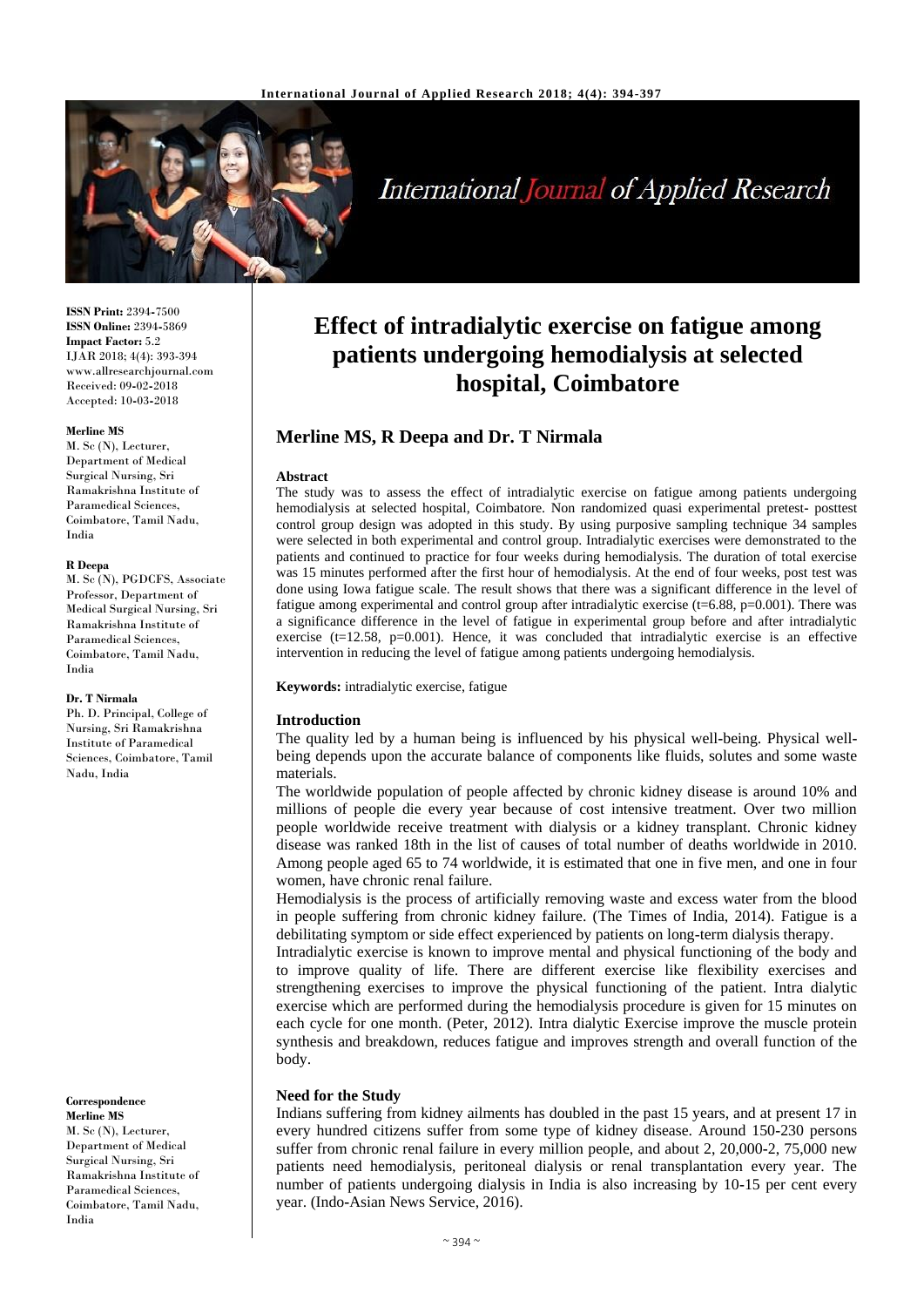

# **International Journal of Applied Research**

**ISSN Print:** 2394**-**7500 **ISSN Online:** 2394**-**5869 **Impact Factor:** 5.2 IJAR 2018; 4(4): 393-394 www.allresearchjournal.com Received: 09**-**02**-**2018 Accepted: 10**-**03**-**2018

#### **Merline MS**

M. Sc (N), Lecturer, Department of Medical Surgical Nursing, Sri Ramakrishna Institute of Paramedical Sciences, Coimbatore, Tamil Nadu, India

#### **R Deepa**

M. Sc (N), PGDCFS, Associate Professor, Department of Medical Surgical Nursing, Sri Ramakrishna Institute of Paramedical Sciences, Coimbatore, Tamil Nadu, India

#### **Dr. T Nirmala**

Ph. D. Principal, College of Nursing, Sri Ramakrishna Institute of Paramedical Sciences, Coimbatore, Tamil Nadu, India

#### **Correspondence Merline MS**

M. Sc (N), Lecturer, Department of Medical Surgical Nursing, Sri Ramakrishna Institute of Paramedical Sciences, Coimbatore, Tamil Nadu, India

## **Effect of intradialytic exercise on fatigue among patients undergoing hemodialysis at selected hospital, Coimbatore**

## **Merline MS, R Deepa and Dr. T Nirmala**

#### **Abstract**

The study was to assess the effect of intradialytic exercise on fatigue among patients undergoing hemodialysis at selected hospital, Coimbatore. Non randomized quasi experimental pretest**-** posttest control group design was adopted in this study. By using purposive sampling technique 34 samples were selected in both experimental and control group. Intradialytic exercises were demonstrated to the patients and continued to practice for four weeks during hemodialysis. The duration of total exercise was 15 minutes performed after the first hour of hemodialysis. At the end of four weeks, post test was done using Iowa fatigue scale. The result shows that there was a significant difference in the level of fatigue among experimental and control group after intradialytic exercise ( $t=6.88$ ,  $p=0.001$ ). There was a significance difference in the level of fatigue in experimental group before and after intradialytic exercise ( $t=12.58$ ,  $p=0.001$ ). Hence, it was concluded that intradialytic exercise is an effective intervention in reducing the level of fatigue among patients undergoing hemodialysis.

**Keywords:** intradialytic exercise, fatigue

### **Introduction**

The quality led by a human being is influenced by his physical well**-**being. Physical wellbeing depends upon the accurate balance of components like fluids, solutes and some waste materials.

The worldwide population of people affected by chronic kidney disease is around 10% and millions of people die every year because of cost intensive treatment. Over two million people worldwide receive treatment with dialysis or a kidney transplant. Chronic kidney disease was ranked 18th in the list of causes of total number of deaths worldwide in 2010. Among people aged 65 to 74 worldwide, it is estimated that one in five men, and one in four women, have chronic renal failure.

Hemodialysis is the process of artificially removing waste and excess water from the blood in people suffering from chronic kidney failure. (The Times of India, 2014). Fatigue is a debilitating symptom or side effect experienced by patients on long**-**term dialysis therapy.

Intradialytic exercise is known to improve mental and physical functioning of the body and to improve quality of life. There are different exercise like flexibility exercises and strengthening exercises to improve the physical functioning of the patient. Intra dialytic exercise which are performed during the hemodialysis procedure is given for 15 minutes on each cycle for one month. (Peter, 2012). Intra dialytic Exercise improve the muscle protein synthesis and breakdown, reduces fatigue and improves strength and overall function of the body.

### **Need for the Study**

Indians suffering from kidney ailments has doubled in the past 15 years, and at present 17 in every hundred citizens suffer from some type of kidney disease. Around 150**-**230 persons suffer from chronic renal failure in every million people, and about 2, 20,000**-**2, 75,000 new patients need hemodialysis, peritoneal dialysis or renal transplantation every year. The number of patients undergoing dialysis in India is also increasing by 10**-**15 per cent every year. (Indo**-**Asian News Service, 2016).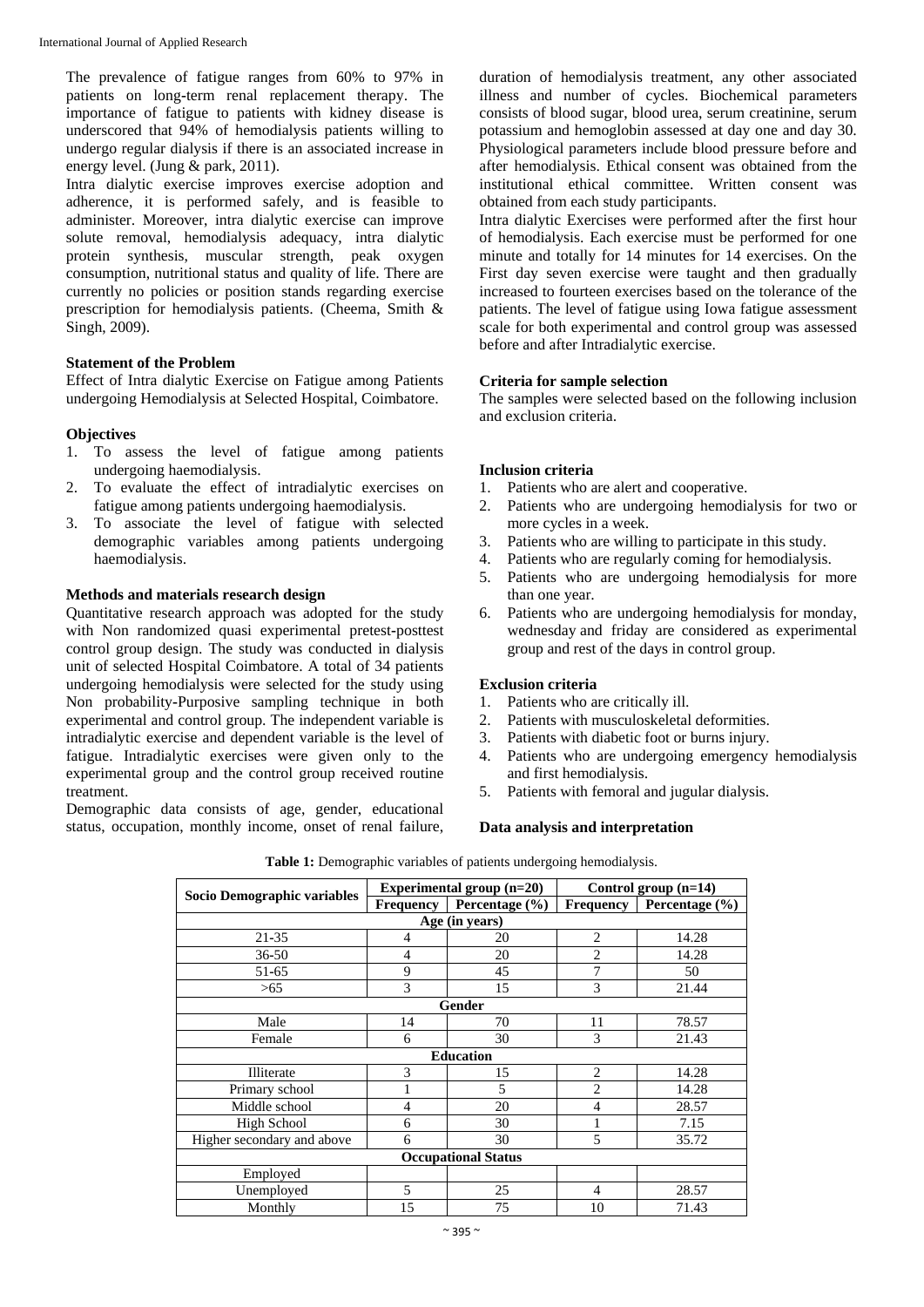The prevalence of fatigue ranges from 60% to 97% in patients on long**-**term renal replacement therapy. The importance of fatigue to patients with kidney disease is underscored that 94% of hemodialysis patients willing to undergo regular dialysis if there is an associated increase in energy level. (Jung & park, 2011).

Intra dialytic exercise improves exercise adoption and adherence, it is performed safely, and is feasible to administer. Moreover, intra dialytic exercise can improve solute removal, hemodialysis adequacy, intra dialytic protein synthesis, muscular strength, peak oxygen consumption, nutritional status and quality of life. There are currently no policies or position stands regarding exercise prescription for hemodialysis patients. (Cheema, Smith & Singh, 2009).

## **Statement of the Problem**

Effect of Intra dialytic Exercise on Fatigue among Patients undergoing Hemodialysis at Selected Hospital, Coimbatore.

### **Objectives**

- 1. To assess the level of fatigue among patients undergoing haemodialysis.
- 2. To evaluate the effect of intradialytic exercises on fatigue among patients undergoing haemodialysis.
- 3. To associate the level of fatigue with selected demographic variables among patients undergoing haemodialysis.

## **Methods and materials research design**

Quantitative research approach was adopted for the study with Non randomized quasi experimental pretest**-**posttest control group design. The study was conducted in dialysis unit of selected Hospital Coimbatore. A total of 34 patients undergoing hemodialysis were selected for the study using Non probability**-**Purposive sampling technique in both experimental and control group. The independent variable is intradialytic exercise and dependent variable is the level of fatigue. Intradialytic exercises were given only to the experimental group and the control group received routine treatment.

Demographic data consists of age, gender, educational status, occupation, monthly income, onset of renal failure,

duration of hemodialysis treatment, any other associated illness and number of cycles. Biochemical parameters consists of blood sugar, blood urea, serum creatinine, serum potassium and hemoglobin assessed at day one and day 30. Physiological parameters include blood pressure before and after hemodialysis. Ethical consent was obtained from the institutional ethical committee. Written consent was obtained from each study participants.

Intra dialytic Exercises were performed after the first hour of hemodialysis. Each exercise must be performed for one minute and totally for 14 minutes for 14 exercises. On the First day seven exercise were taught and then gradually increased to fourteen exercises based on the tolerance of the patients. The level of fatigue using Iowa fatigue assessment scale for both experimental and control group was assessed before and after Intradialytic exercise.

## **Criteria for sample selection**

The samples were selected based on the following inclusion and exclusion criteria.

### **Inclusion criteria**

- 1. Patients who are alert and cooperative.
- 2. Patients who are undergoing hemodialysis for two or more cycles in a week.
- 3. Patients who are willing to participate in this study.
- 4. Patients who are regularly coming for hemodialysis.
- 5. Patients who are undergoing hemodialysis for more than one year.
- 6. Patients who are undergoing hemodialysis for monday, wednesday and friday are considered as experimental group and rest of the days in control group.

### **Exclusion criteria**

- 1. Patients who are critically ill.
- 2. Patients with musculoskeletal deformities.
- 3. Patients with diabetic foot or burns injury.
- 4. Patients who are undergoing emergency hemodialysis and first hemodialysis.
- 5. Patients with femoral and jugular dialysis.

### **Data analysis and interpretation**

|                             |                | Experimental group $(n=20)$ | Control group (n=14) |                              |  |  |  |  |
|-----------------------------|----------------|-----------------------------|----------------------|------------------------------|--|--|--|--|
| Socio Demographic variables | Frequency      | Percentage (%)              |                      | Frequency Percentage $(\% )$ |  |  |  |  |
| Age (in years)              |                |                             |                      |                              |  |  |  |  |
| 21-35                       | 4              | 20                          | $\overline{2}$       | 14.28                        |  |  |  |  |
| 36-50                       | $\overline{4}$ | 20                          | $\overline{c}$       | 14.28                        |  |  |  |  |
| 51-65                       | 9              | 45                          | 7                    | 50                           |  |  |  |  |
| >65                         | 3              | 15                          | 3                    | 21.44                        |  |  |  |  |
|                             |                | <b>Gender</b>               |                      |                              |  |  |  |  |
| Male                        | 14             | 70                          | 11                   | 78.57                        |  |  |  |  |
| Female                      | 6              | 30                          | 3                    | 21.43                        |  |  |  |  |
| <b>Education</b>            |                |                             |                      |                              |  |  |  |  |
| Illiterate                  | 3              | 15                          | $\overline{2}$       | 14.28                        |  |  |  |  |
| Primary school              |                | 5                           | $\overline{c}$       | 14.28                        |  |  |  |  |
| Middle school               | 4              | 20                          | 4                    | 28.57                        |  |  |  |  |
| High School                 | 6              | 30                          |                      | 7.15                         |  |  |  |  |
| Higher secondary and above  | 6              | 30                          | 5                    | 35.72                        |  |  |  |  |
| <b>Occupational Status</b>  |                |                             |                      |                              |  |  |  |  |
| Employed                    |                |                             |                      |                              |  |  |  |  |
| Unemployed                  | 5              | 25                          | 4                    | 28.57                        |  |  |  |  |
| Monthly                     | 15             | 75                          | 10                   | 71.43                        |  |  |  |  |

**Table 1:** Demographic variables of patients undergoing hemodialysis.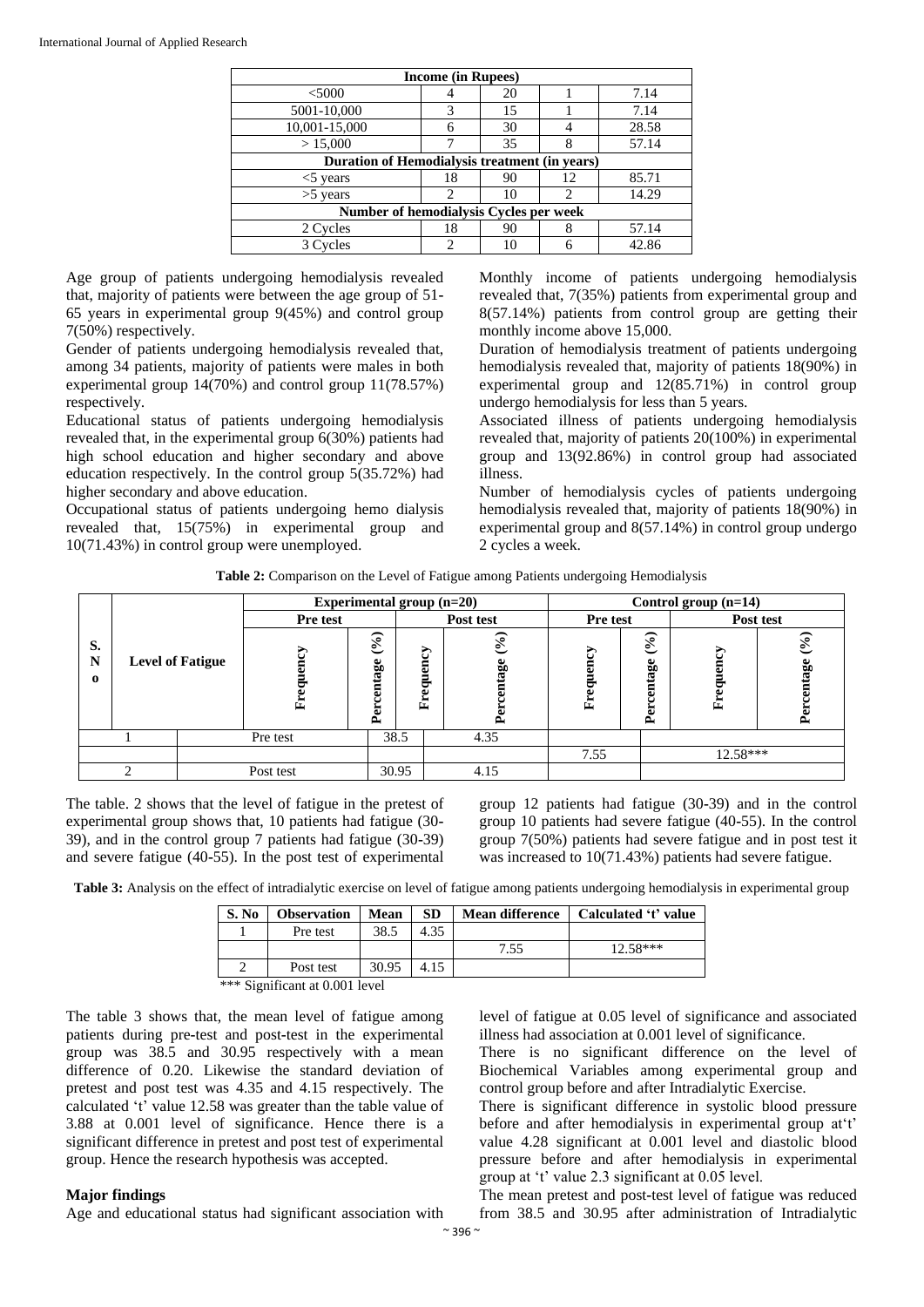| <b>Income (in Rupees)</b>                     |    |    |                               |       |  |  |  |
|-----------------------------------------------|----|----|-------------------------------|-------|--|--|--|
| $<$ 5000                                      |    | 20 |                               | 7.14  |  |  |  |
| 5001-10,000                                   |    | 15 |                               | 7.14  |  |  |  |
| 10,001-15,000                                 | 6  | 30 |                               | 28.58 |  |  |  |
| > 15,000                                      |    | 35 | 8                             | 57.14 |  |  |  |
| Duration of Hemodialysis treatment (in years) |    |    |                               |       |  |  |  |
| $<$ 5 years                                   | 18 | 90 | 12                            | 85.71 |  |  |  |
| $>5$ years                                    |    | 10 | $\mathfrak{D}_{\mathfrak{p}}$ | 14.29 |  |  |  |
| Number of hemodialysis Cycles per week        |    |    |                               |       |  |  |  |
| 2 Cycles                                      | 18 | 90 | 8                             | 57.14 |  |  |  |
| 3 Cycles                                      | ∍  |    |                               | 42.86 |  |  |  |

Age group of patients undergoing hemodialysis revealed that, majority of patients were between the age group of 51**-** 65 years in experimental group 9(45%) and control group 7(50%) respectively.

Gender of patients undergoing hemodialysis revealed that, among 34 patients, majority of patients were males in both experimental group 14(70%) and control group 11(78.57%) respectively.

Educational status of patients undergoing hemodialysis revealed that, in the experimental group 6(30%) patients had high school education and higher secondary and above education respectively. In the control group 5(35.72%) had higher secondary and above education.

Occupational status of patients undergoing hemo dialysis revealed that, 15(75%) in experimental group and 10(71.43%) in control group were unemployed.

Monthly income of patients undergoing hemodialysis revealed that, 7(35%) patients from experimental group and 8(57.14%) patients from control group are getting their monthly income above 15,000.

Duration of hemodialysis treatment of patients undergoing hemodialysis revealed that, majority of patients 18(90%) in experimental group and 12(85.71%) in control group undergo hemodialysis for less than 5 years.

Associated illness of patients undergoing hemodialysis revealed that, majority of patients 20(100%) in experimental group and 13(92.86%) in control group had associated illness.

Number of hemodialysis cycles of patients undergoing hemodialysis revealed that, majority of patients 18(90%) in experimental group and 8(57.14%) in control group undergo 2 cycles a week.

| <b>Table 2:</b> Comparison on the Level of Fatigue among Patients undergoing Hemodialysis |  |  |
|-------------------------------------------------------------------------------------------|--|--|
|                                                                                           |  |  |

|                     |                         |          | Experimental group (n=20) |                                   |                     | Control group (n=14)                     |                         |                                        |            |                                           |
|---------------------|-------------------------|----------|---------------------------|-----------------------------------|---------------------|------------------------------------------|-------------------------|----------------------------------------|------------|-------------------------------------------|
|                     |                         | Pre test |                           | Post test                         |                     | Pre test                                 |                         | Post test                              |            |                                           |
| S.<br>N<br>$\bf{o}$ | <b>Level of Fatigue</b> |          | ħ<br>Ė                    | $\mathcal{S}_0$<br>centage<br>Per | 5<br>quen<br>ه<br>Ě | $\mathcal{S}_{\bullet}$<br>intage<br>Pej | 5<br>ධ<br>▭<br>ಕ್ಷ<br>Ě | $\mathcal{S}_{\bullet}$<br>entage<br>ዺ | ð<br>Ě     | $\mathcal{S}_{\bullet}$<br>centage<br>Per |
|                     |                         |          | Pre test                  | 38.5                              |                     | 4.35                                     |                         |                                        |            |                                           |
|                     |                         |          |                           |                                   |                     |                                          | 7.55                    |                                        | $12.58***$ |                                           |
|                     | ◠                       |          | Post test                 | 30.95                             |                     | 4.15                                     |                         |                                        |            |                                           |

The table. 2 shows that the level of fatigue in the pretest of experimental group shows that, 10 patients had fatigue (30**-** 39), and in the control group 7 patients had fatigue (30**-**39) and severe fatigue (40**-**55). In the post test of experimental

group 12 patients had fatigue (30**-**39) and in the control group 10 patients had severe fatigue (40**-**55). In the control group 7(50%) patients had severe fatigue and in post test it was increased to 10(71.43%) patients had severe fatigue.

**Table 3:** Analysis on the effect of intradialytic exercise on level of fatigue among patients undergoing hemodialysis in experimental group

| S. No | <b>Observation</b> | Mean  | <b>SD</b> | <b>Mean difference</b> | Calculated 't' value |  |  |
|-------|--------------------|-------|-----------|------------------------|----------------------|--|--|
|       | Pre test           | 38.5  | 4.35      |                        |                      |  |  |
|       |                    |       |           | 7.55                   | $12.58***$           |  |  |
|       | Post test          | 30.95 | 4.15      |                        |                      |  |  |
|       |                    |       |           |                        |                      |  |  |

\*\*\* Significant at 0.001 level

The table 3 shows that, the mean level of fatigue among patients during pre**-**test and post**-**test in the experimental group was 38.5 and 30.95 respectively with a mean difference of 0.20. Likewise the standard deviation of pretest and post test was 4.35 and 4.15 respectively. The calculated 't' value 12.58 was greater than the table value of 3.88 at 0.001 level of significance. Hence there is a significant difference in pretest and post test of experimental group. Hence the research hypothesis was accepted.

### **Major findings**

Age and educational status had significant association with

level of fatigue at 0.05 level of significance and associated illness had association at 0.001 level of significance.

There is no significant difference on the level of Biochemical Variables among experimental group and control group before and after Intradialytic Exercise.

There is significant difference in systolic blood pressure before and after hemodialysis in experimental group at't' value 4.28 significant at 0.001 level and diastolic blood pressure before and after hemodialysis in experimental group at 't' value 2.3 significant at 0.05 level.

The mean pretest and post**-**test level of fatigue was reduced from 38.5 and 30.95 after administration of Intradialytic